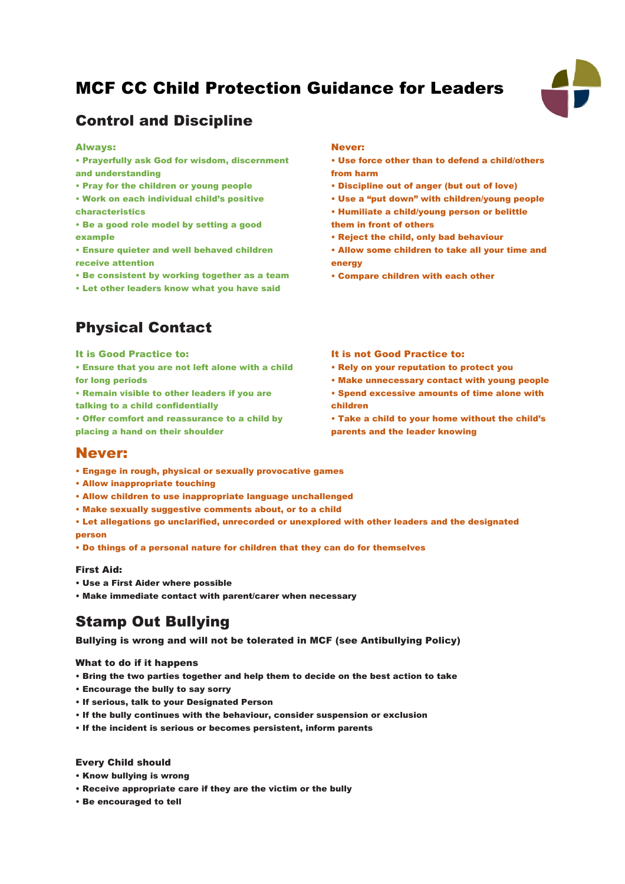# MCF CC Child Protection Guidance for Leaders



## Control and Discipline

#### Always:

- Prayerfully ask God for wisdom, discernment and understanding
- Pray for the children or young people
- Work on each individual child's positive characteristics
- Be a good role model by setting a good example
- Ensure quieter and well behaved children receive attention
- Be consistent by working together as a team
- Let other leaders know what you have said

## Physical Contact

#### It is Good Practice to:

- Ensure that you are not left alone with a child for long periods
- Remain visible to other leaders if you are talking to a child confidentially
- Offer comfort and reassurance to a child by placing a hand on their shoulder

#### Never:

- Use force other than to defend a child/others from harm
- Discipline out of anger (but out of love)
- Use a "put down" with children/young people
- Humiliate a child/young person or belittle
- them in front of others
- Reject the child, only bad behaviour
- Allow some children to take all your time and energy
- Compare children with each other

#### It is not Good Practice to:

- Rely on your reputation to protect you
- Make unnecessary contact with young people
- Spend excessive amounts of time alone with children
- Take a child to your home without the child's parents and the leader knowing

### Never:

- Engage in rough, physical or sexually provocative games
- Allow inappropriate touching
- Allow children to use inappropriate language unchallenged
- Make sexually suggestive comments about, or to a child
- Let allegations go unclarified, unrecorded or unexplored with other leaders and the designated person
- Do things of a personal nature for children that they can do for themselves

#### First Aid:

- Use a First Aider where possible
- Make immediate contact with parent/carer when necessary

# Stamp Out Bullying

Bullying is wrong and will not be tolerated in MCF (see Antibullying Policy)

#### What to do if it happens

- Bring the two parties together and help them to decide on the best action to take
- Encourage the bully to say sorry
- If serious, talk to your Designated Person
- If the bully continues with the behaviour, consider suspension or exclusion
- If the incident is serious or becomes persistent, inform parents

#### Every Child should

- Know bullying is wrong
- Receive appropriate care if they are the victim or the bully
- Be encouraged to tell